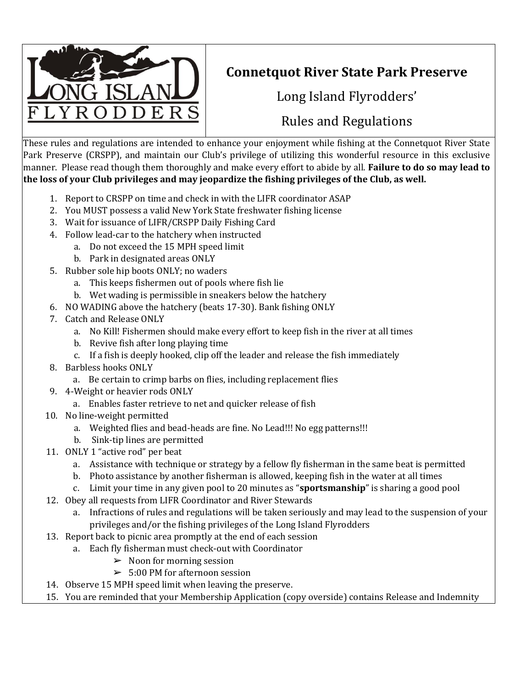

## **Connetquot River State Park Preserve**

Long Island Flyrodders'

## Rules and Regulations

These rules and regulations are intended to enhance your enjoyment while fishing at the Connetquot River State Park Preserve (CRSPP), and maintain our Club's privilege of utilizing this wonderful resource in this exclusive manner. Please read though them thoroughly and make every effort to abide by all. **Failure to do so may lead to the loss of your Club privileges and may jeopardize the fishing privileges of the Club, as well.** 

- 1. Report to CRSPP on time and check in with the LIFR coordinator ASAP
- 2. You MUST possess a valid New York State freshwater fishing license
- 3. Wait for issuance of LIFR/CRSPP Daily Fishing Card
- 4. Follow lead-car to the hatchery when instructed
	- a. Do not exceed the 15 MPH speed limit
	- b. Park in designated areas ONLY
- 5. Rubber sole hip boots ONLY; no waders
	- a. This keeps fishermen out of pools where fish lie
	- b. Wet wading is permissible in sneakers below the hatchery
- 6. NO WADING above the hatchery (beats 17-30). Bank fishing ONLY
- 7. Catch and Release ONLY
	- a. No Kill! Fishermen should make every effort to keep fish in the river at all times
	- b. Revive fish after long playing time
	- c. If a fish is deeply hooked, clip off the leader and release the fish immediately
- 8. Barbless hooks ONLY
	- a. Be certain to crimp barbs on flies, including replacement flies
- 9. 4-Weight or heavier rods ONLY
	- a. Enables faster retrieve to net and quicker release of fish
- 10. No line-weight permitted
	- a. Weighted flies and bead-heads are fine. No Lead!!! No egg patterns!!!
	- b. Sink-tip lines are permitted
- 11. ONLY 1 "active rod" per beat
	- a. Assistance with technique or strategy by a fellow fly fisherman in the same beat is permitted
	- b. Photo assistance by another fisherman is allowed, keeping fish in the water at all times
	- c. Limit your time in any given pool to 20 minutes as "**sportsmanship**" is sharing a good pool
- 12. Obey all requests from LIFR Coordinator and River Stewards
	- a. Infractions of rules and regulations will be taken seriously and may lead to the suspension of your privileges and/or the fishing privileges of the Long Island Flyrodders
- 13. Report back to picnic area promptly at the end of each session
	- a. Each fly fisherman must check-out with Coordinator
		- $\triangleright$  Noon for morning session
		- $> 5:00$  PM for afternoon session
- 14. Observe 15 MPH speed limit when leaving the preserve.
- 15. You are reminded that your Membership Application (copy overside) contains Release and Indemnity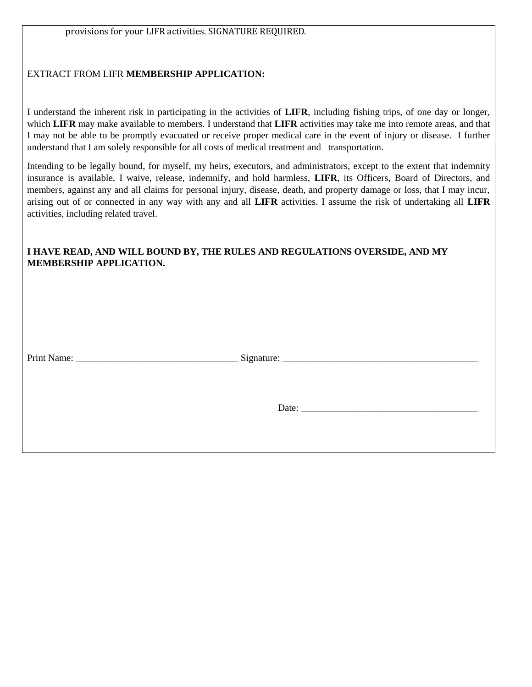## EXTRACT FROM LIFR **MEMBERSHIP APPLICATION:**

I understand the inherent risk in participating in the activities of **LIFR**, including fishing trips, of one day or longer, which **LIFR** may make available to members. I understand that **LIFR** activities may take me into remote areas, and that I may not be able to be promptly evacuated or receive proper medical care in the event of injury or disease. I further understand that I am solely responsible for all costs of medical treatment and transportation.

Intending to be legally bound, for myself, my heirs, executors, and administrators, except to the extent that indemnity insurance is available, I waive, release, indemnify, and hold harmless, **LIFR**, its Officers, Board of Directors, and members, against any and all claims for personal injury, disease, death, and property damage or loss, that I may incur, arising out of or connected in any way with any and all **LIFR** activities. I assume the risk of undertaking all **LIFR** activities, including related travel.

## **I HAVE READ, AND WILL BOUND BY, THE RULES AND REGULATIONS OVERSIDE, AND MY MEMBERSHIP APPLICATION.**